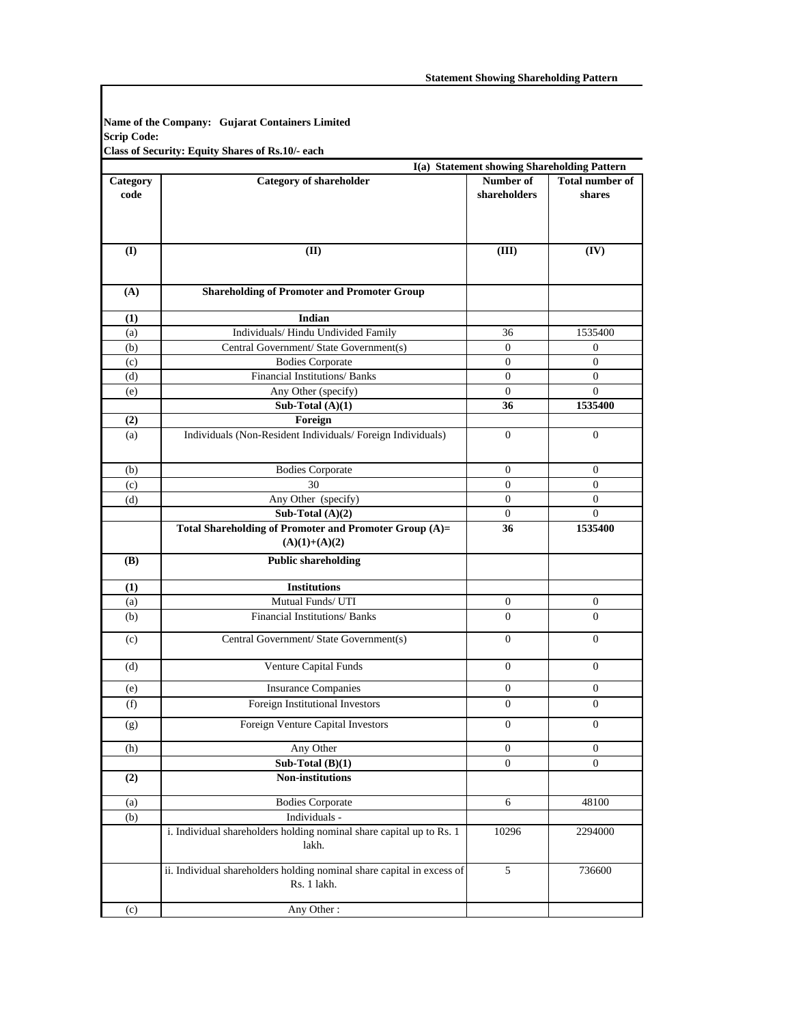**Name of the Company: Gujarat Containers Limited Scrip Code: Class of Security: Equity Shares of Rs.10/- each**

|          |                                                                                       | I(a) Statement showing Shareholding Pattern |                        |  |
|----------|---------------------------------------------------------------------------------------|---------------------------------------------|------------------------|--|
| Category | <b>Category of shareholder</b>                                                        | Number of                                   | <b>Total number of</b> |  |
| code     |                                                                                       | shareholders                                | shares                 |  |
|          |                                                                                       |                                             |                        |  |
|          |                                                                                       |                                             |                        |  |
| (I)      | (II)                                                                                  | (III)                                       | (IV)                   |  |
| (A)      | <b>Shareholding of Promoter and Promoter Group</b>                                    |                                             |                        |  |
| (1)      | Indian                                                                                |                                             |                        |  |
| (a)      | Individuals/ Hindu Undivided Family                                                   | 36                                          | 1535400                |  |
| (b)      | Central Government/ State Government(s)                                               | $\mathbf{0}$                                | 0                      |  |
| (c)      | <b>Bodies Corporate</b>                                                               | $\mathbf{0}$                                | $\mathbf{0}$           |  |
| (d)      | Financial Institutions/ Banks                                                         | $\mathbf{0}$                                | $\overline{0}$         |  |
| (e)      | Any Other (specify)                                                                   | $\mathbf{0}$                                | $\overline{0}$         |  |
|          | Sub-Total $(A)(1)$                                                                    | 36                                          | 1535400                |  |
| (2)      | Foreign                                                                               |                                             |                        |  |
| (a)      | Individuals (Non-Resident Individuals/ Foreign Individuals)                           | $\mathbf{0}$                                | $\overline{0}$         |  |
| (b)      | <b>Bodies Corporate</b>                                                               | $\mathbf{0}$                                | $\mathbf{0}$           |  |
| (c)      | 30                                                                                    | $\overline{0}$                              | $\overline{0}$         |  |
| (d)      | Any Other (specify)                                                                   | $\mathbf{0}$                                | $\overline{0}$         |  |
|          | Sub-Total $(A)(2)$                                                                    | $\mathbf{0}$                                | $\Omega$               |  |
|          | Total Shareholding of Promoter and Promoter Group (A)=                                | 36                                          | 1535400                |  |
|          | $(A)(1)+(A)(2)$                                                                       |                                             |                        |  |
| (B)      | <b>Public shareholding</b>                                                            |                                             |                        |  |
| (1)      | <b>Institutions</b>                                                                   |                                             |                        |  |
| (a)      | Mutual Funds/ UTI                                                                     | $\boldsymbol{0}$                            | $\bf{0}$               |  |
| (b)      | <b>Financial Institutions/ Banks</b>                                                  | $\Omega$                                    | $\Omega$               |  |
| (c)      | Central Government/ State Government(s)                                               | $\overline{0}$                              | $\mathbf{0}$           |  |
| (d)      | Venture Capital Funds                                                                 | $\mathbf{0}$                                | $\mathbf{0}$           |  |
| (e)      | <b>Insurance Companies</b>                                                            | $\bf{0}$                                    | $\bf{0}$               |  |
| (f)      | Foreign Institutional Investors                                                       | $\boldsymbol{0}$                            | $\boldsymbol{0}$       |  |
| (g)      | Foreign Venture Capital Investors                                                     | $\mathbf{0}$                                | $\mathbf{0}$           |  |
| (h)      | Any Other                                                                             | $\boldsymbol{0}$                            | $\boldsymbol{0}$       |  |
|          | Sub-Total $(B)(1)$                                                                    | $\mathbf{0}$                                | $\mathbf{0}$           |  |
| (2)      | Non-institutions                                                                      |                                             |                        |  |
| (a)      | <b>Bodies Corporate</b>                                                               | 6                                           | 48100                  |  |
| (b)      | Individuals -                                                                         |                                             |                        |  |
|          | i. Individual shareholders holding nominal share capital up to Rs. 1<br>lakh.         | 10296                                       | 2294000                |  |
|          | ii. Individual shareholders holding nominal share capital in excess of<br>Rs. 1 lakh. | $\sqrt{5}$                                  | 736600                 |  |
| (c)      | Any Other:                                                                            |                                             |                        |  |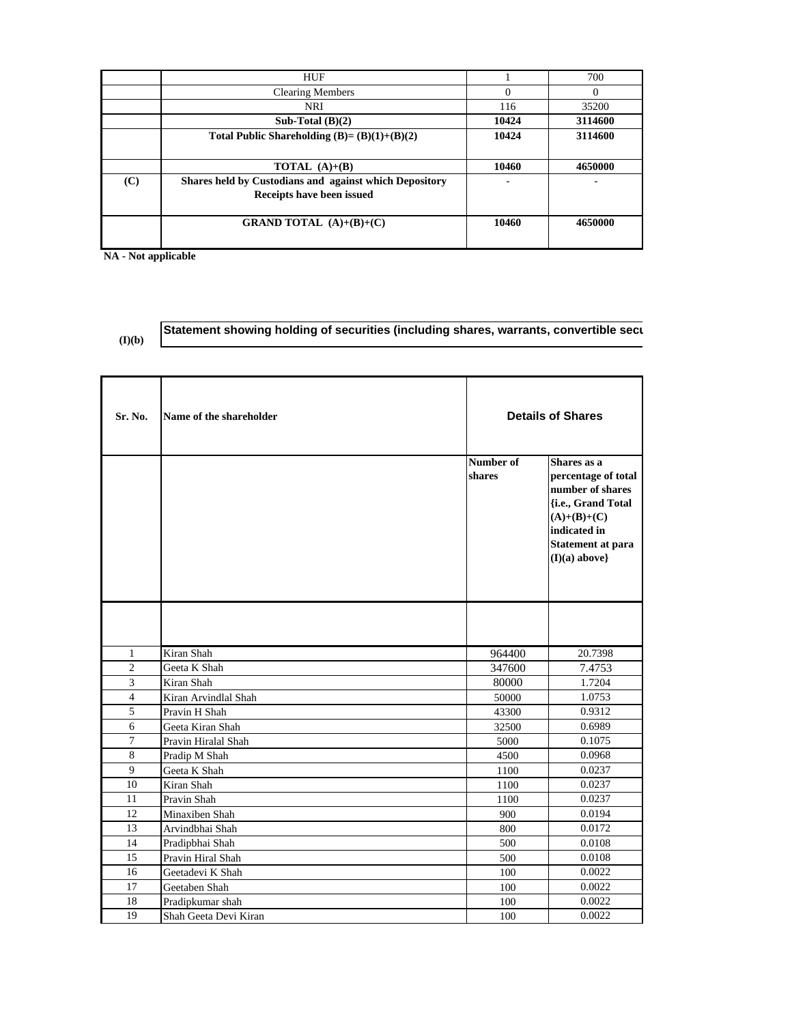|     | <b>HUF</b>                                             |          | 700      |
|-----|--------------------------------------------------------|----------|----------|
|     | <b>Clearing Members</b>                                | $\Omega$ | $\Omega$ |
|     | <b>NRI</b>                                             | 116      | 35200    |
|     | Sub-Total $(B)(2)$                                     | 10424    | 3114600  |
|     | Total Public Shareholding $(B)=(B)(1)+(B)(2)$          | 10424    | 3114600  |
|     |                                                        |          |          |
|     | <b>TOTAL</b> $(A)+(B)$                                 | 10460    | 4650000  |
| (C) | Shares held by Custodians and against which Depository |          |          |
|     | Receipts have been issued                              |          |          |
|     |                                                        |          |          |
|     | <b>GRAND TOTAL</b> $(A)+(B)+(C)$                       | 10460    | 4650000  |
|     |                                                        |          |          |

**NA - Not applicable**

**(I)(b)**

## **Statement showing holding of securities (including shares, warrants, convertible secu**

|  | ۹<br>۰,<br>I |  |
|--|--------------|--|
|  |              |  |
|  |              |  |

| Sr. No.        | Name of the shareholder | <b>Details of Shares</b> |                                                                                                                                                       |
|----------------|-------------------------|--------------------------|-------------------------------------------------------------------------------------------------------------------------------------------------------|
|                |                         | Number of<br>shares      | Shares as a<br>percentage of total<br>number of shares<br>{i.e., Grand Total<br>$(A)+(B)+(C)$<br>indicated in<br>Statement at para<br>$(I)(a)$ above} |
|                |                         |                          |                                                                                                                                                       |
| 1              | Kiran Shah              | 964400                   | 20.7398                                                                                                                                               |
| $\overline{2}$ | Geeta K Shah            | 347600                   | 7.4753                                                                                                                                                |
| 3              | Kiran Shah              | 80000                    | 1.7204                                                                                                                                                |
| $\overline{4}$ | Kiran Arvindlal Shah    | 50000                    | 1.0753                                                                                                                                                |
| 5              | Pravin H Shah           | 43300                    | 0.9312                                                                                                                                                |
| 6              | Geeta Kiran Shah        | 32500                    | 0.6989                                                                                                                                                |
| $\overline{7}$ | Pravin Hiralal Shah     | 5000                     | 0.1075                                                                                                                                                |
| 8              | Pradip M Shah           | 4500                     | 0.0968                                                                                                                                                |
| 9              | Geeta K Shah            | 1100                     | 0.0237                                                                                                                                                |
| 10             | Kiran Shah              | 1100                     | 0.0237                                                                                                                                                |
| 11             | Pravin Shah             | 1100                     | 0.0237                                                                                                                                                |
| 12             | Minaxiben Shah          | 900                      | 0.0194                                                                                                                                                |
| 13             | Arvindbhai Shah         | 800                      | 0.0172                                                                                                                                                |
| 14             | Pradipbhai Shah         | 500                      | 0.0108                                                                                                                                                |
| 15             | Pravin Hiral Shah       | 500                      | 0.0108                                                                                                                                                |
| 16             | Geetadevi K Shah        | 100                      | 0.0022                                                                                                                                                |
| 17             | Geetaben Shah           | 100                      | 0.0022                                                                                                                                                |
| 18             | Pradipkumar shah        | 100                      | 0.0022                                                                                                                                                |
| 19             | Shah Geeta Devi Kiran   | 100                      | 0.0022                                                                                                                                                |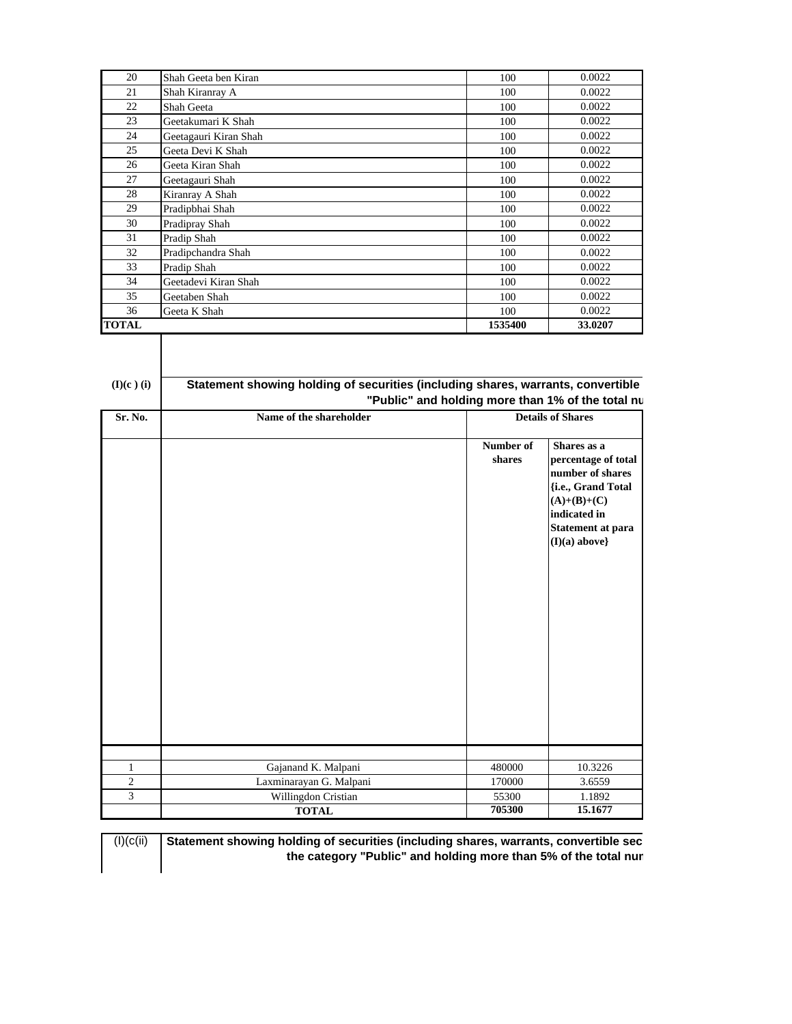| 20             | Shah Geeta ben Kiran                                                                                                                  | 100                 | 0.0022                                                                                                                                                |
|----------------|---------------------------------------------------------------------------------------------------------------------------------------|---------------------|-------------------------------------------------------------------------------------------------------------------------------------------------------|
| 21             | Shah Kiranray A                                                                                                                       | 100                 | 0.0022                                                                                                                                                |
| 22             | Shah Geeta                                                                                                                            | 100                 | 0.0022                                                                                                                                                |
| 23             | Geetakumari K Shah                                                                                                                    | 100                 | 0.0022                                                                                                                                                |
| 24             | Geetagauri Kiran Shah                                                                                                                 | 100                 | 0.0022                                                                                                                                                |
| 25             | Geeta Devi K Shah                                                                                                                     | 100                 | 0.0022                                                                                                                                                |
| 26             | Geeta Kiran Shah                                                                                                                      | 100                 | 0.0022                                                                                                                                                |
| 27             | Geetagauri Shah                                                                                                                       | 100                 | 0.0022                                                                                                                                                |
| 28             | Kiranray A Shah                                                                                                                       | 100                 | 0.0022                                                                                                                                                |
| 29             | Pradipbhai Shah                                                                                                                       | 100                 | 0.0022                                                                                                                                                |
| 30             | Pradipray Shah                                                                                                                        | 100                 | 0.0022                                                                                                                                                |
| 31             | Pradip Shah                                                                                                                           | 100                 | 0.0022                                                                                                                                                |
| 32             | Pradipchandra Shah                                                                                                                    | 100                 | 0.0022                                                                                                                                                |
| 33             | Pradip Shah                                                                                                                           | 100                 | 0.0022                                                                                                                                                |
| 34             | Geetadevi Kiran Shah                                                                                                                  | 100                 | 0.0022                                                                                                                                                |
| 35             | Geetaben Shah                                                                                                                         | 100                 | 0.0022                                                                                                                                                |
| 36             | Geeta K Shah                                                                                                                          | 100                 | 0.0022                                                                                                                                                |
| <b>TOTAL</b>   |                                                                                                                                       | 1535400             | 33.0207                                                                                                                                               |
| $(I)(c)$ (i)   | Statement showing holding of securities (including shares, warrants, convertible<br>"Public" and holding more than 1% of the total nu |                     |                                                                                                                                                       |
| Sr. No.        | Name of the shareholder                                                                                                               |                     | <b>Details of Shares</b>                                                                                                                              |
|                |                                                                                                                                       |                     |                                                                                                                                                       |
|                |                                                                                                                                       | Number of<br>shares | Shares as a<br>percentage of total<br>number of shares<br>{i.e., Grand Total<br>$(A)+(B)+(C)$<br>indicated in<br>Statement at para<br>$(I)(a)$ above} |
|                |                                                                                                                                       |                     |                                                                                                                                                       |
| $\mathbf{1}$   | Gajanand K. Malpani                                                                                                                   | 480000              | 10.3226                                                                                                                                               |
| $\overline{2}$ | Laxminarayan G. Malpani                                                                                                               | 170000              | 3.6559                                                                                                                                                |
| 3              | Willingdon Cristian<br><b>TOTAL</b>                                                                                                   | 55300<br>705300     | 1.1892<br>15.1677                                                                                                                                     |

 $(I)(c(ii))$ **Statement showing holding of securities (including shares, warrants, convertible sec the category "Public" and holding more than 5% of the total num**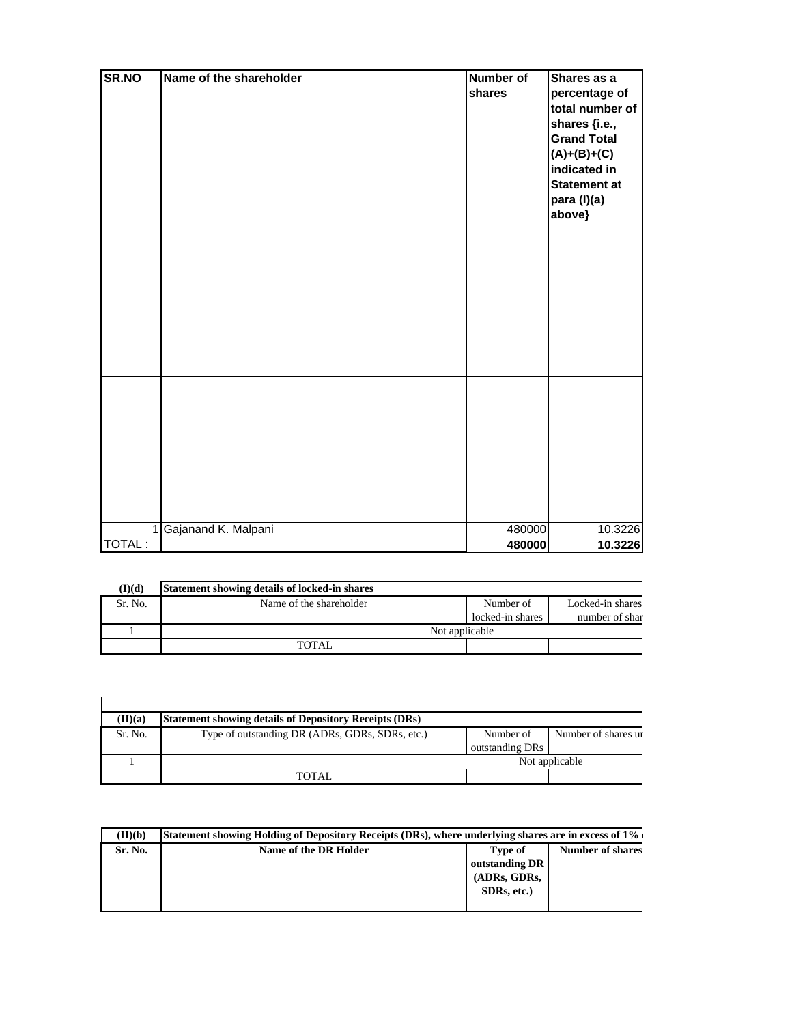| SR.NO  | Name of the shareholder | <b>Number of</b><br>shares | Shares as a<br>percentage of<br>total number of<br>shares {i.e.,<br><b>Grand Total</b><br>$(A)+(B)+(C)$<br>indicated in<br><b>Statement at</b><br>para (I)(a)<br>above} |
|--------|-------------------------|----------------------------|-------------------------------------------------------------------------------------------------------------------------------------------------------------------------|
|        |                         |                            |                                                                                                                                                                         |
|        | 1 Gajanand K. Malpani   | 480000                     | 10.3226                                                                                                                                                                 |
| TOTAL: |                         | 480000                     | 10.3226                                                                                                                                                                 |

| (I)(d)  | Statement showing details of locked-in shares |                  |                  |
|---------|-----------------------------------------------|------------------|------------------|
| Sr. No. | Name of the shareholder                       | Number of        | Locked-in shares |
|         |                                               | locked-in shares | number of shar   |
|         | Not applicable                                |                  |                  |
|         | TOTAL                                         |                  |                  |

| (II)(a) | <b>Statement showing details of Depository Receipts (DRs)</b> |                 |                     |
|---------|---------------------------------------------------------------|-----------------|---------------------|
| Sr. No. | Type of outstanding DR (ADRs, GDRs, SDRs, etc.)               | Number of       | Number of shares ur |
|         |                                                               | outstanding DRs |                     |
|         |                                                               |                 | Not applicable      |
|         | TOTAL.                                                        |                 |                     |

| (II)(b) | Statement showing Holding of Depository Receipts (DRs), where underlying shares are in excess of 1% o |                |  |  |  |  |
|---------|-------------------------------------------------------------------------------------------------------|----------------|--|--|--|--|
| Sr. No. | Name of the DR Holder<br><b>Number of shares</b><br>Type of                                           |                |  |  |  |  |
|         |                                                                                                       | outstanding DR |  |  |  |  |
|         |                                                                                                       | (ADRs, GDRs,   |  |  |  |  |
|         |                                                                                                       | SDRs, etc.)    |  |  |  |  |
|         |                                                                                                       |                |  |  |  |  |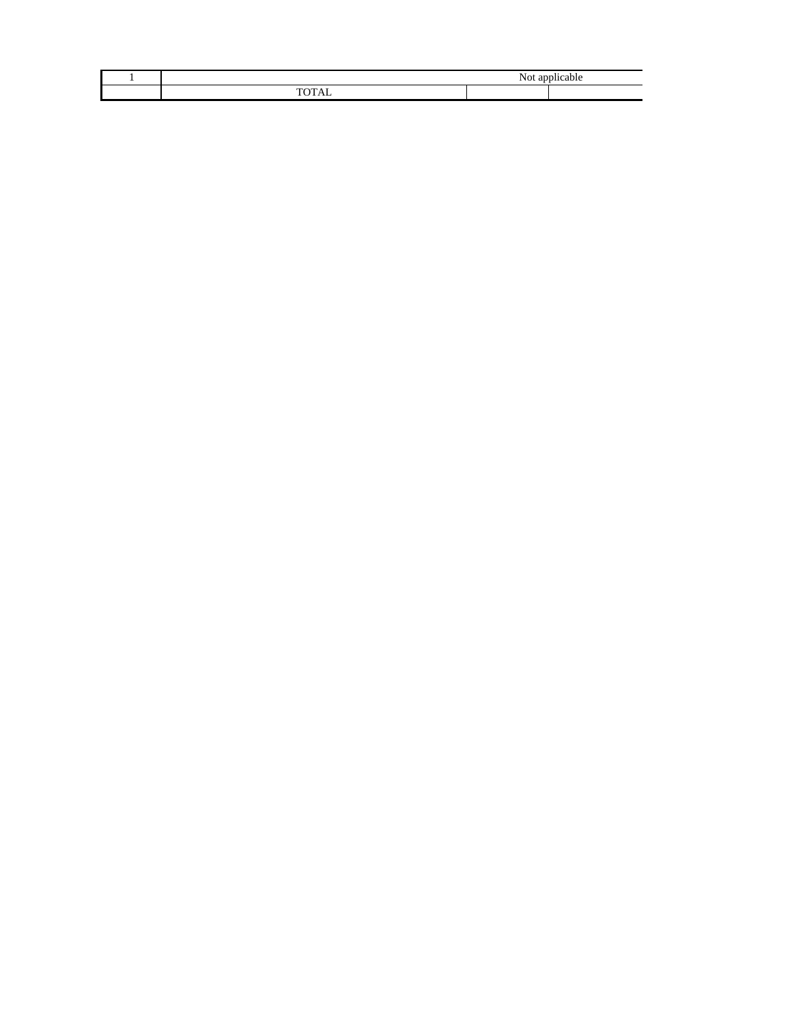| - - |  |  |
|-----|--|--|
| ___ |  |  |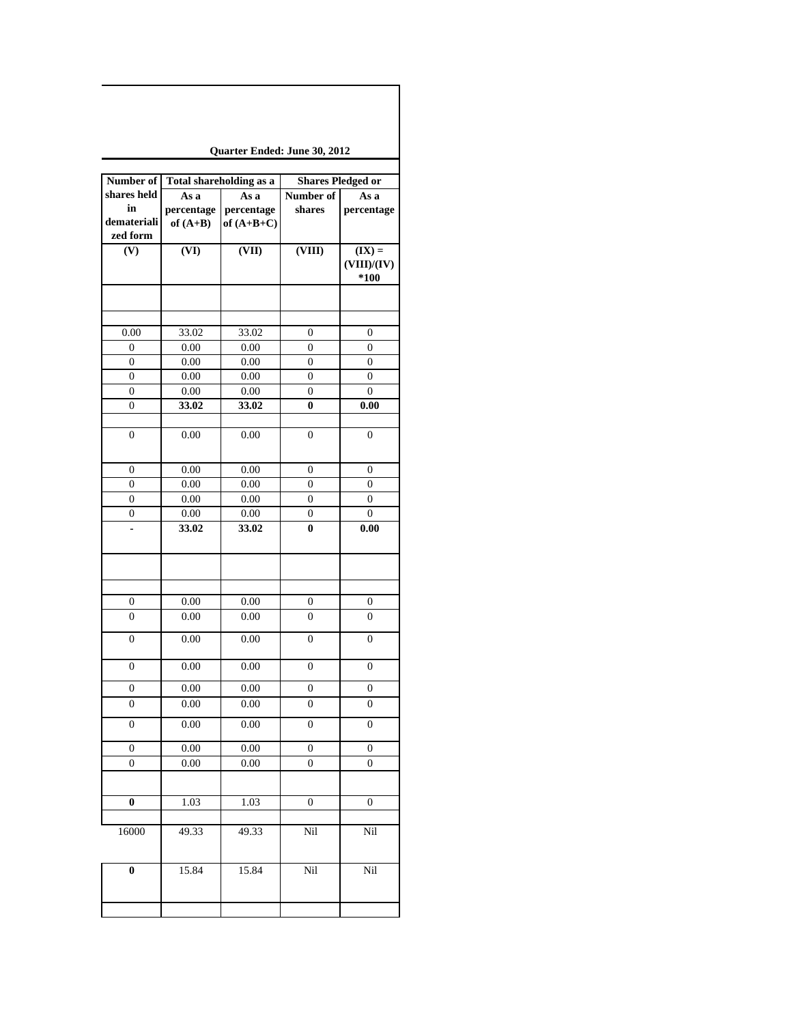| Quarter Ended: June 30, 2012 |  |  |  |
|------------------------------|--|--|--|
|------------------------------|--|--|--|

| Number of        |            | <b>Shares Pledged or</b><br>Total shareholding as a |                  |                  |
|------------------|------------|-----------------------------------------------------|------------------|------------------|
| shares held      | As a       | As a                                                | Number of        | As a             |
| in               | percentage | percentage                                          | shares           | percentage       |
| demateriali      | of $(A+B)$ | of $(A+B+C)$                                        |                  |                  |
| zed form         |            |                                                     |                  |                  |
| (V)              | (VI)       | (VII)                                               | (VIII)           | $(IX) =$         |
|                  |            |                                                     |                  | (VIII)/(IV)      |
|                  |            |                                                     |                  | *100             |
|                  |            |                                                     |                  |                  |
|                  |            |                                                     |                  |                  |
| 0.00             | 33.02      | 33.02                                               | $\boldsymbol{0}$ | 0                |
| $\boldsymbol{0}$ | 0.00       | 0.00                                                | 0                | $\boldsymbol{0}$ |
| $\overline{0}$   | 0.00       | 0.00                                                | $\boldsymbol{0}$ | $\boldsymbol{0}$ |
| $\overline{0}$   | 0.00       | 0.00                                                | $\boldsymbol{0}$ | $\mathbf{0}$     |
| $\boldsymbol{0}$ | 0.00       | 0.00                                                | $\boldsymbol{0}$ | $\boldsymbol{0}$ |
| $\boldsymbol{0}$ | 33.02      | 33.02                                               | $\bf{0}$         | 0.00             |
|                  |            |                                                     |                  |                  |
| $\boldsymbol{0}$ | 0.00       | 0.00                                                | $\boldsymbol{0}$ | $\boldsymbol{0}$ |
|                  |            |                                                     |                  |                  |
| $\boldsymbol{0}$ | 0.00       | 0.00                                                | $\boldsymbol{0}$ | 0                |
| $\boldsymbol{0}$ | 0.00       | 0.00                                                | 0                | 0                |
| $\boldsymbol{0}$ | $0.00\,$   | $0.00\,$                                            | $\boldsymbol{0}$ | $\mathbf{0}$     |
| $\boldsymbol{0}$ | $0.00\,$   | $0.00\,$                                            | $\boldsymbol{0}$ | $\boldsymbol{0}$ |
| L                | 33.02      | 33.02                                               | $\bf{0}$         | 0.00             |
|                  |            |                                                     |                  |                  |
|                  |            |                                                     |                  |                  |
|                  |            |                                                     |                  |                  |
|                  |            |                                                     |                  |                  |
| 0                | 0.00       | 0.00                                                | 0                | 0                |
| $\overline{0}$   | 0.00       | 0.00                                                | 0                | $\overline{0}$   |
|                  |            |                                                     |                  |                  |
| $\boldsymbol{0}$ | 0.00       | 0.00                                                | $\boldsymbol{0}$ | $\overline{0}$   |
|                  | 0.00       | 0.00                                                |                  |                  |
| $\boldsymbol{0}$ |            |                                                     | $\boldsymbol{0}$ | $\boldsymbol{0}$ |
| $\boldsymbol{0}$ | 0.00       | 0.00                                                | $\boldsymbol{0}$ | $\boldsymbol{0}$ |
| $\boldsymbol{0}$ | 0.00       | 0.00                                                | 0                | $\boldsymbol{0}$ |
| $\boldsymbol{0}$ | 0.00       | 0.00                                                | $\boldsymbol{0}$ | $\boldsymbol{0}$ |
|                  |            |                                                     |                  |                  |
| $\boldsymbol{0}$ | $0.00\,$   | $0.00\,$                                            | $\boldsymbol{0}$ | $\boldsymbol{0}$ |
| 0                | 0.00       | 0.00                                                | 0                | 0                |
|                  |            |                                                     |                  |                  |
| $\bf{0}$         | 1.03       | 1.03                                                | $\boldsymbol{0}$ | 0                |
|                  |            |                                                     |                  |                  |
| 16000            | 49.33      | 49.33                                               | Nil              | Nil              |
|                  |            |                                                     |                  |                  |
|                  |            |                                                     |                  |                  |
| $\bf{0}$         | 15.84      | 15.84                                               | Nil              | Nil              |
|                  |            |                                                     |                  |                  |
|                  |            |                                                     |                  |                  |
|                  |            |                                                     |                  |                  |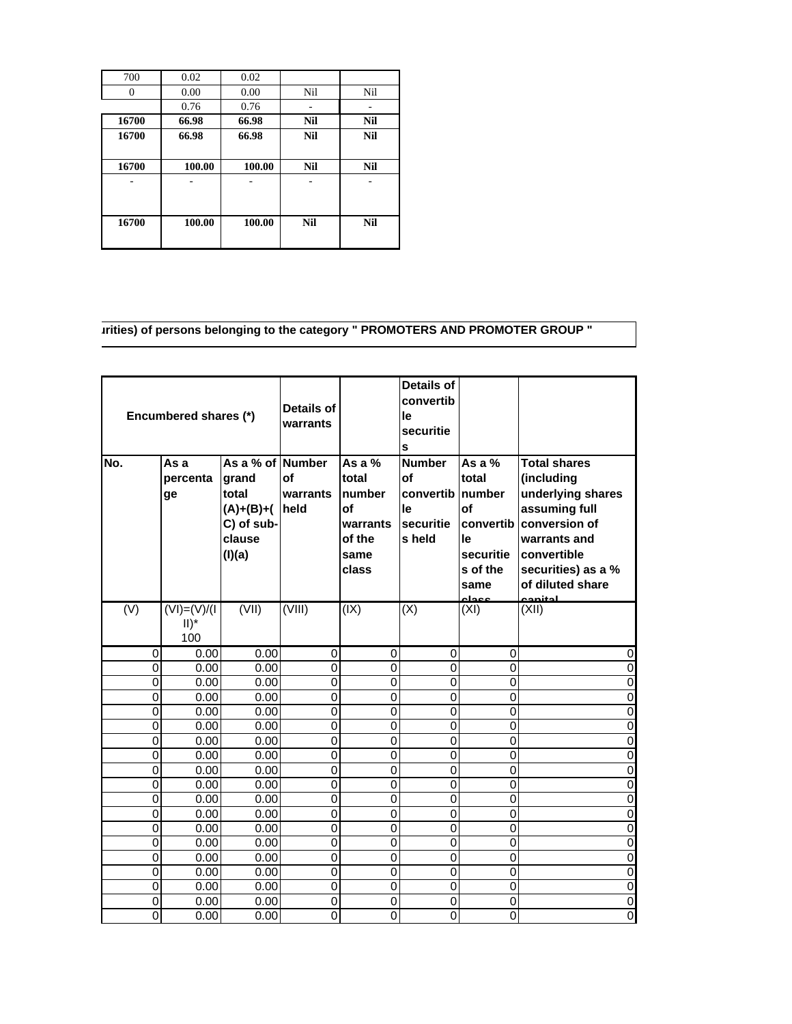| 700      | 0.02   | 0.02   |            |            |
|----------|--------|--------|------------|------------|
| $\theta$ | 0.00   | 0.00   | Nil        | Nil        |
|          | 0.76   | 0.76   |            | ۰          |
| 16700    | 66.98  | 66.98  | <b>Nil</b> | <b>Nil</b> |
| 16700    | 66.98  | 66.98  | <b>Nil</b> | <b>Nil</b> |
|          |        |        |            |            |
| 16700    | 100.00 | 100.00 | Nil        | <b>Nil</b> |
|          |        |        |            |            |
|          |        |        |            |            |
|          |        |        |            |            |
| 16700    | 100.00 | 100.00 | Nil        | Nil        |
|          |        |        |            |            |

## **urities) of persons belonging to the category " PROMOTERS AND PROMOTER GROUP "**

| No.            | Encumbered shares (*)<br>As a<br>percenta<br>ge | As a % of Number<br>grand<br>total<br>$(A)+(B)+(A)$<br>C) of sub-<br>clause<br>(I)(a) | Details of<br>warrants<br><b>of</b><br>warrants<br>held | As a %<br>total<br>number<br>of<br>warrants<br>of the<br>same<br>class | <b>Details of</b><br>convertib<br>le<br>securitie<br>s<br><b>Number</b><br>of<br>convertib number<br>le<br>securitie<br>s held | As a %<br>total<br><b>of</b><br>convertib<br>le<br>securitie<br>s of the | <b>Total shares</b><br>(including<br>underlying shares<br>assuming full<br>conversion of<br>warrants and<br><b>convertible</b><br>securities) as a % |
|----------------|-------------------------------------------------|---------------------------------------------------------------------------------------|---------------------------------------------------------|------------------------------------------------------------------------|--------------------------------------------------------------------------------------------------------------------------------|--------------------------------------------------------------------------|------------------------------------------------------------------------------------------------------------------------------------------------------|
| (V)            | $(VI) = (V)/I$                                  | $\overline{(VII)}$                                                                    | $\overline{(VIII)}$                                     | (IX)                                                                   | (X)                                                                                                                            | same<br>حاءده<br>(XI)                                                    | of diluted share<br>canital<br>(XII)                                                                                                                 |
|                | $II)^*$<br>100                                  |                                                                                       |                                                         |                                                                        |                                                                                                                                |                                                                          |                                                                                                                                                      |
| 0              | 0.00                                            | 0.00                                                                                  | $\mathbf 0$                                             | $\mathbf 0$                                                            | 0                                                                                                                              | 0                                                                        | 0                                                                                                                                                    |
| $\overline{0}$ | 0.00                                            | 0.00                                                                                  | $\mathbf 0$                                             | $\overline{0}$                                                         | 0                                                                                                                              | $\mathbf{0}$                                                             | $\mathbf 0$                                                                                                                                          |
| 0              | 0.00                                            | 0.00                                                                                  | $\mathbf 0$                                             | $\mathbf 0$                                                            | $\overline{0}$                                                                                                                 | 0                                                                        | $\mathbf 0$                                                                                                                                          |
| 0              | 0.00                                            | 0.00                                                                                  | $\mathbf 0$                                             | $\mathbf 0$                                                            | $\overline{0}$                                                                                                                 | 0                                                                        | $\mathbf 0$                                                                                                                                          |
| 0              | 0.00                                            | 0.00                                                                                  | $\mathbf 0$                                             | $\mathbf 0$                                                            | $\overline{0}$                                                                                                                 | $\mathbf{0}$                                                             | $\mathbf 0$                                                                                                                                          |
| 0              | 0.00                                            | 0.00                                                                                  | $\mathbf 0$                                             | $\mathbf 0$                                                            | $\overline{0}$                                                                                                                 | 0                                                                        | $\mathbf 0$                                                                                                                                          |
| $\overline{0}$ | 0.00                                            | 0.00                                                                                  | $\mathbf 0$                                             | $\mathbf 0$                                                            | $\overline{0}$                                                                                                                 | $\mathbf 0$                                                              | $\mathbf 0$                                                                                                                                          |
| 0              | 0.00                                            | 0.00                                                                                  | $\mathbf 0$                                             | 0                                                                      | $\overline{0}$                                                                                                                 | 0                                                                        | $\mathbf 0$                                                                                                                                          |
| 0              | 0.00                                            | 0.00                                                                                  | $\mathbf 0$                                             | $\mathbf 0$                                                            | $\overline{0}$                                                                                                                 | $\mathbf 0$                                                              | $\mathbf 0$                                                                                                                                          |
| $\overline{0}$ | $\overline{0.00}$                               | 0.00                                                                                  | $\overline{0}$                                          | $\overline{0}$                                                         | $\overline{0}$                                                                                                                 | $\overline{0}$                                                           | $\overline{0}$                                                                                                                                       |
| 0              | 0.00                                            | 0.00                                                                                  | $\mathbf 0$                                             | $\Omega$                                                               | $\overline{0}$                                                                                                                 | $\overline{0}$                                                           | $\mathbf 0$                                                                                                                                          |
| 0              | 0.00                                            | 0.00                                                                                  | $\mathbf 0$                                             | $\mathbf 0$                                                            | $\overline{0}$                                                                                                                 | 0                                                                        | $\mathbf 0$                                                                                                                                          |
| 0              | 0.00                                            | 0.00                                                                                  | $\mathbf 0$                                             | $\overline{0}$                                                         | $\overline{0}$                                                                                                                 | $\overline{0}$                                                           | $\overline{0}$                                                                                                                                       |
| 0              | 0.00                                            | 0.00                                                                                  | $\mathbf 0$                                             | $\mathbf 0$                                                            | $\overline{0}$                                                                                                                 | $\overline{0}$                                                           | $\mathbf 0$                                                                                                                                          |
| 0<br>0         | 0.00                                            | 0.00<br>0.00                                                                          | $\mathbf 0$<br>$\mathbf 0$                              | $\overline{0}$<br>$\overline{0}$                                       | $\mathbf 0$<br>$\overline{0}$                                                                                                  | $\mathbf 0$<br>0                                                         | $\mathbf 0$<br>$\overline{0}$                                                                                                                        |
| 0              | 0.00<br>0.00                                    | 0.00                                                                                  | $\mathbf 0$                                             | $\mathbf 0$                                                            | $\overline{0}$                                                                                                                 | $\overline{0}$                                                           | $\overline{0}$                                                                                                                                       |
| 0              | 0.00                                            | 0.00                                                                                  | $\mathbf 0$                                             | $\mathbf 0$                                                            | 0                                                                                                                              | 0                                                                        | $\mathbf 0$                                                                                                                                          |
| 0              | 0.00                                            | 0.00                                                                                  | $\mathbf 0$                                             | 0                                                                      | 0                                                                                                                              | 0                                                                        | $\mathbf 0$                                                                                                                                          |
|                |                                                 |                                                                                       |                                                         |                                                                        |                                                                                                                                |                                                                          |                                                                                                                                                      |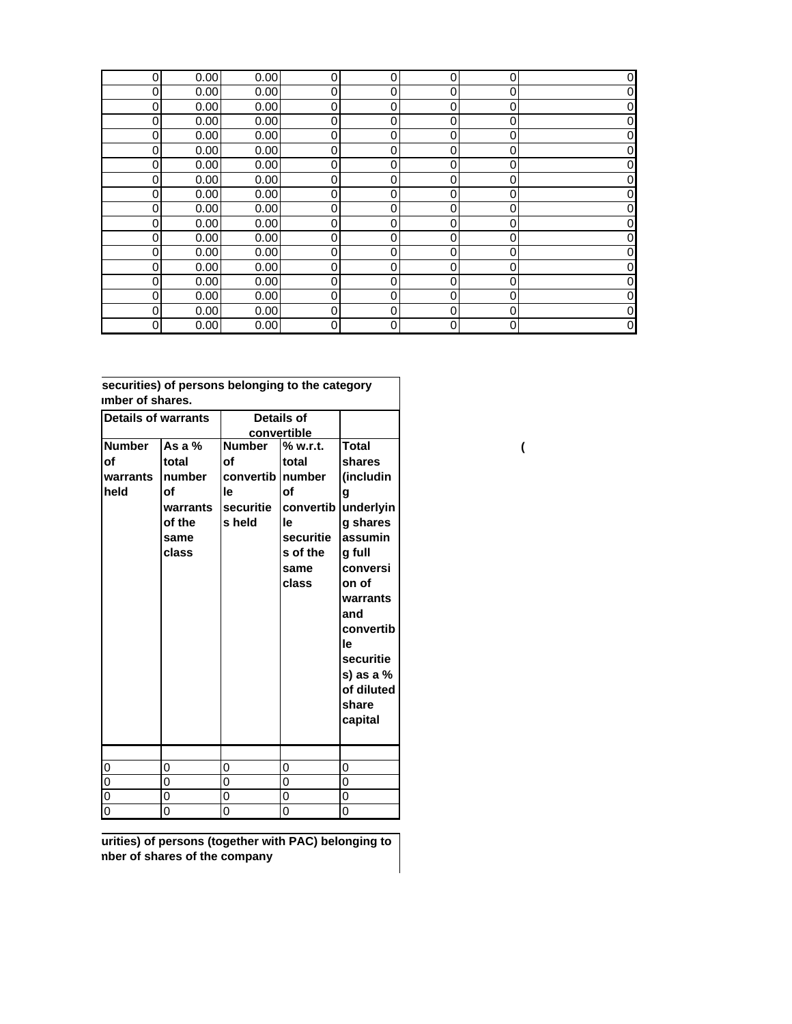| 0 | 0.00 | 0.00 | $\mathbf 0$      | 0              | 0        | 0 | 0 |
|---|------|------|------------------|----------------|----------|---|---|
| 0 | 0.00 | 0.00 | $\mathbf 0$      | 0              | 0        | 0 | 0 |
| 0 | 0.00 | 0.00 | $\mathbf 0$      | $\mathbf 0$    | 0        | 0 | 0 |
| 0 | 0.00 | 0.00 | $\mathbf 0$      | 0              | 0        | 0 | 0 |
| 0 | 0.00 | 0.00 | $\mathbf 0$      | 0              | 0        | 0 | 0 |
| 0 | 0.00 | 0.00 | $\mathbf 0$      | 0              | 0        | 0 | 0 |
| 0 | 0.00 | 0.00 | $\mathbf 0$      | 0              | 0        | 0 | 0 |
| 0 | 0.00 | 0.00 | $\boldsymbol{0}$ | 0              | 0        | 0 | 0 |
| 0 | 0.00 | 0.00 | $\mathbf 0$      | $\overline{0}$ | 0        | 0 | 0 |
| 0 | 0.00 | 0.00 | $\mathbf 0$      | $\overline{0}$ | 0        | 0 | 0 |
| 0 | 0.00 | 0.00 | $\mathbf 0$      | 0              | 0        | 0 | 0 |
| 0 | 0.00 | 0.00 | $\mathbf 0$      | $\mathbf 0$    | 0        | 0 | 0 |
| 0 | 0.00 | 0.00 | $\mathbf 0$      | 0              | 0        | 0 | 0 |
| 0 | 0.00 | 0.00 | $\mathbf 0$      | 0              | 0        | 0 |   |
| 0 | 0.00 | 0.00 | $\mathbf 0$      | 0              | 0        | 0 | 0 |
| 0 | 0.00 | 0.00 | $\mathbf 0$      | 0              | $\Omega$ | 0 | 0 |
| 0 | 0.00 | 0.00 | $\mathbf 0$      | 0              | 0        | 0 | 0 |
| 0 | 0.00 | 0.00 | $\mathbf 0$      | 0              | 0        | 0 | 0 |

| securities) of persons belonging to the category<br>imber of shares. |                                                                          |                                                                 |                                                                                                |                                                                                                                                                                                                               |
|----------------------------------------------------------------------|--------------------------------------------------------------------------|-----------------------------------------------------------------|------------------------------------------------------------------------------------------------|---------------------------------------------------------------------------------------------------------------------------------------------------------------------------------------------------------------|
| <b>Details of warrants</b>                                           |                                                                          | Details of<br>convertible                                       |                                                                                                |                                                                                                                                                                                                               |
| <b>Number</b><br>οf<br>warrants<br>held                              | As a $%$<br>total<br>number<br>οf<br>warrants<br>of the<br>same<br>class | <b>Number</b><br>Ωf<br>convertib l<br>le<br>securitie<br>s held | % w.r.t.<br>total<br>number<br>Οf<br>convertib<br>le<br>securitie<br>s of the<br>same<br>class | <b>Total</b><br>shares<br>(includin<br>g<br>underlyin<br>g shares<br>assumin<br>g full<br>conversi<br>on of<br>warrants<br>and<br>convertib<br>le<br>securitie<br>s) as a %<br>of diluted<br>share<br>capital |
|                                                                      | 0                                                                        | 0                                                               | 0                                                                                              | 0                                                                                                                                                                                                             |
| 0<br>0                                                               | 0                                                                        | 0                                                               | 0                                                                                              | 0                                                                                                                                                                                                             |
| 0                                                                    | 0                                                                        | 0                                                               | 0                                                                                              | 0                                                                                                                                                                                                             |
| 0                                                                    | 0                                                                        | 0                                                               | 0                                                                                              | 0                                                                                                                                                                                                             |

**urities) of persons (together with PAC) belonging to mber of shares of the company**

**(**